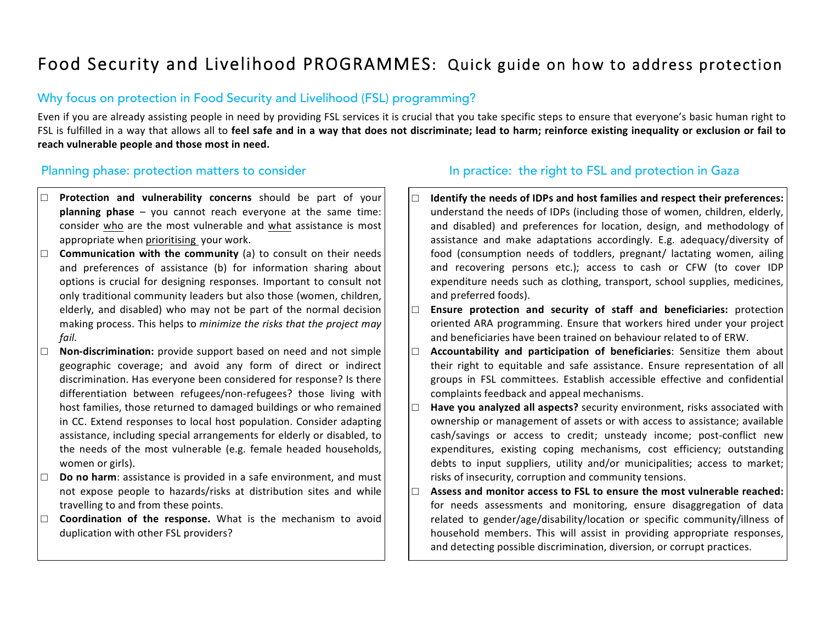# Food Security and Livelihood PROGRAMMES: Quick guide on how to address protection

### Why focus on protection in Food Security and Livelihood (FSL) programming?

Even if you are already assisting people in need by providing FSL services it is crucial that you take specific steps to ensure that everyone's basic human right to FSL is fulfilled in a way that allows all to feel safe and in a way that does not discriminate; lead to harm; reinforce existing inequality or exclusion or fail to reach vulnerable people and those most in need.

□

- **Protection and vulnerability concerns** should be part of your **planning phase** – you cannot reach everyone at the same time: consider who are the most vulnerable and what assistance is most appropriate when prioritising your work.
- $\Box$  **Communication with the community** (a) to consult on their needs and preferences of assistance (b) for information sharing about options is crucial for designing responses. Important to consult not only traditional community leaders but also those (women, children, elderly, and disabled) who may not be part of the normal decision making process. This helps to *minimize the risks that the project may fail.*
- □ **Non-discrimination:** provide support based on need and not simple geographic coverage; and avoid any form of direct or indirect discrimination. Has everyone been considered for response? Is there differentiation between refugees/non-refugees? those living with host families, those returned to damaged buildings or who remained in CC. Extend responses to local host population. Consider adapting assistance, including special arrangements for elderly or disabled, to the needs of the most vulnerable (e.g. female headed households, women or girls).
- □ **Do no harm**: assistance is provided in a safe environment, and must not expose people to hazards/risks at distribution sites and while travelling to and from these points.
- □ **Coordination of the response.** What is the mechanism to avoid duplication with other FSL providers?

# Planning phase: protection matters to consider In practice: the right to FSL and protection in Gaza

- □ **Identify the needs of IDPs and host families and respect their preferences:** understand the needs of IDPs (including those of women, children, elderly, and disabled) and preferences for location, design, and methodology of assistance and make adaptations accordingly. E.g. adequacy/diversity of food (consumption needs of toddlers, pregnant/ lactating women, ailing and recovering persons etc.); access to cash or CFW (to cover IDP expenditure needs such as clothing, transport, school supplies, medicines, and preferred foods).
- □ **Ensure protection and security of staff and beneficiaries:** protection oriented ARA programming. Ensure that workers hired under your project and beneficiaries have been trained on behaviour related to of ERW.
- □ **Accountability and participation of beneficiaries**: Sensitize them about their right to equitable and safe assistance. Ensure representation of all groups in FSL committees. Establish accessible effective and confidential complaints feedback and appeal mechanisms.
- $\square$  **Have you analyzed all aspects?** security environment, risks associated with ownership or management of assets or with access to assistance; available cash/savings or access to credit; unsteady income; post-conflict new expenditures, existing coping mechanisms, cost efficiency; outstanding debts to input suppliers, utility and/or municipalities; access to market; risks of insecurity, corruption and community tensions.
- $\Box$  Assess and monitor access to FSL to ensure the most vulnerable reached: for needs assessments and monitoring, ensure disaggregation of data related to gender/age/disability/location or specific community/illness of household members. This will assist in providing appropriate responses, and detecting possible discrimination, diversion, or corrupt practices.